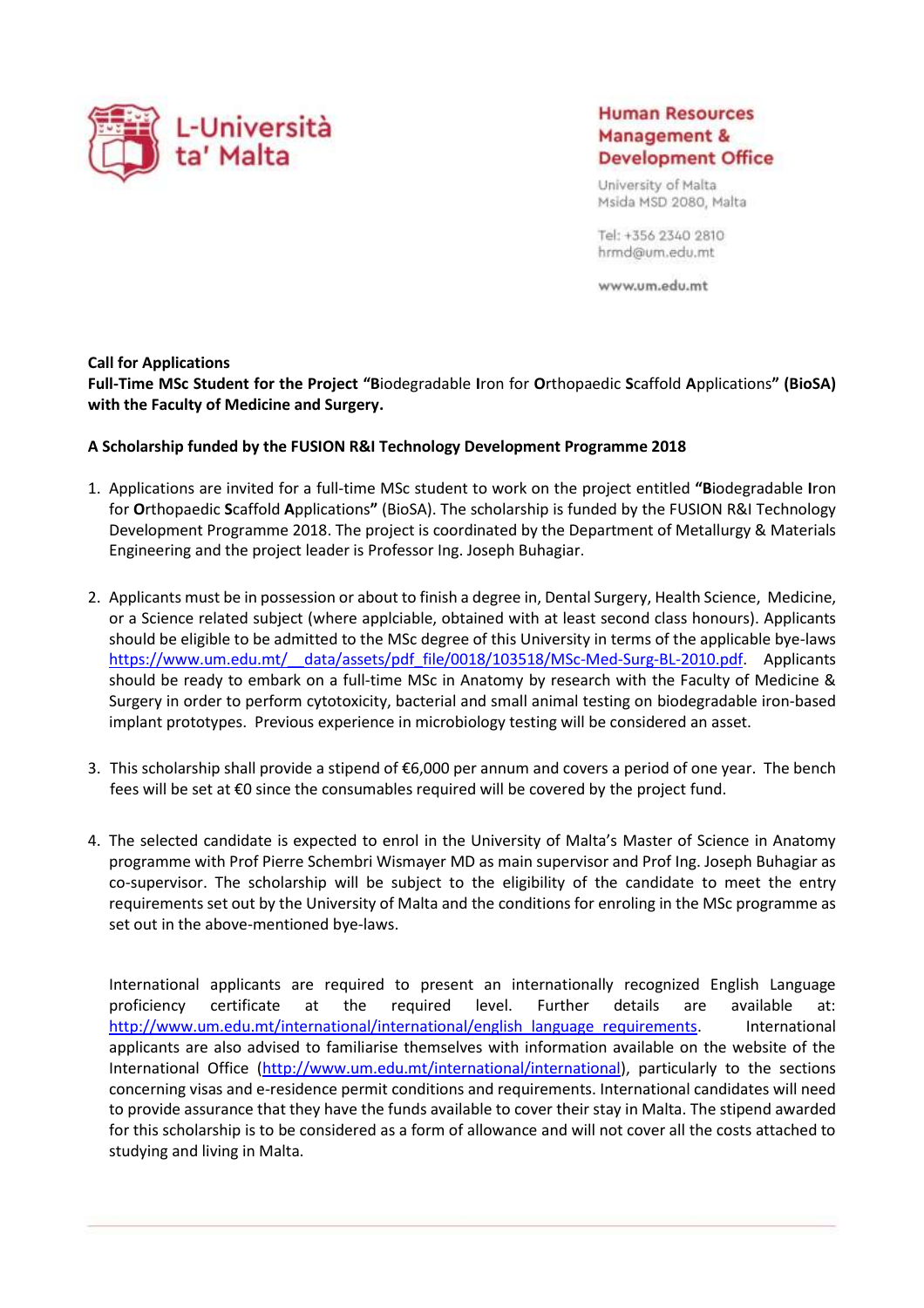

# **Human Resources** Management & **Development Office**

University of Malta Msida MSD 2080, Malta

Tel: +356 2340 2810 hrmd@um.edu.mt

www.um.edu.mt

#### **Call for Applications**

**Full-Time MSc Student for the Project "B**iodegradable **I**ron for **O**rthopaedic **S**caffold **A**pplications**" (BioSA) with the Faculty of Medicine and Surgery.**

### **A Scholarship funded by the FUSION R&I Technology Development Programme 2018**

- 1. Applications are invited for a full-time MSc student to work on the project entitled **"B**iodegradable **I**ron for **O**rthopaedic **S**caffold **A**pplications**"** (BioSA). The scholarship is funded by the FUSION R&I Technology Development Programme 2018. The project is coordinated by the Department of Metallurgy & Materials Engineering and the project leader is Professor Ing. Joseph Buhagiar.
- 2. Applicants must be in possession or about to finish a degree in, Dental Surgery, Health Science, Medicine, or a Science related subject (where applciable, obtained with at least second class honours). Applicants should be eligible to be admitted to the MSc degree of this University in terms of the applicable bye-laws https://www.um.edu.mt/ data/assets/pdf file/0018/103518/MSc-Med-Surg-BL-2010.pdf. Applicants should be ready to embark on a full-time MSc in Anatomy by research with the Faculty of Medicine & Surgery in order to perform cytotoxicity, bacterial and small animal testing on biodegradable iron-based implant prototypes. Previous experience in microbiology testing will be considered an asset.
- 3. This scholarship shall provide a stipend of €6,000 per annum and covers a period of one year. The bench fees will be set at €0 since the consumables required will be covered by the project fund.
- 4. The selected candidate is expected to enrol in the University of Malta's Master of Science in Anatomy programme with Prof Pierre Schembri Wismayer MD as main supervisor and Prof Ing. Joseph Buhagiar as co-supervisor. The scholarship will be subject to the eligibility of the candidate to meet the entry requirements set out by the University of Malta and the conditions for enroling in the MSc programme as set out in the above-mentioned bye-laws.

International applicants are required to present an internationally recognized English Language proficiency certificate at the required level. Further details are available at: [http://www.um.edu.mt/international/international/english\\_language\\_requirements.](http://www.um.edu.mt/international/international/english_language_requirements) International applicants are also advised to familiarise themselves with information available on the website of the International Office [\(http://www.um.edu.mt/international/international\)](http://www.um.edu.mt/international/international), particularly to the sections concerning visas and e-residence permit conditions and requirements. International candidates will need to provide assurance that they have the funds available to cover their stay in Malta. The stipend awarded for this scholarship is to be considered as a form of allowance and will not cover all the costs attached to studying and living in Malta.